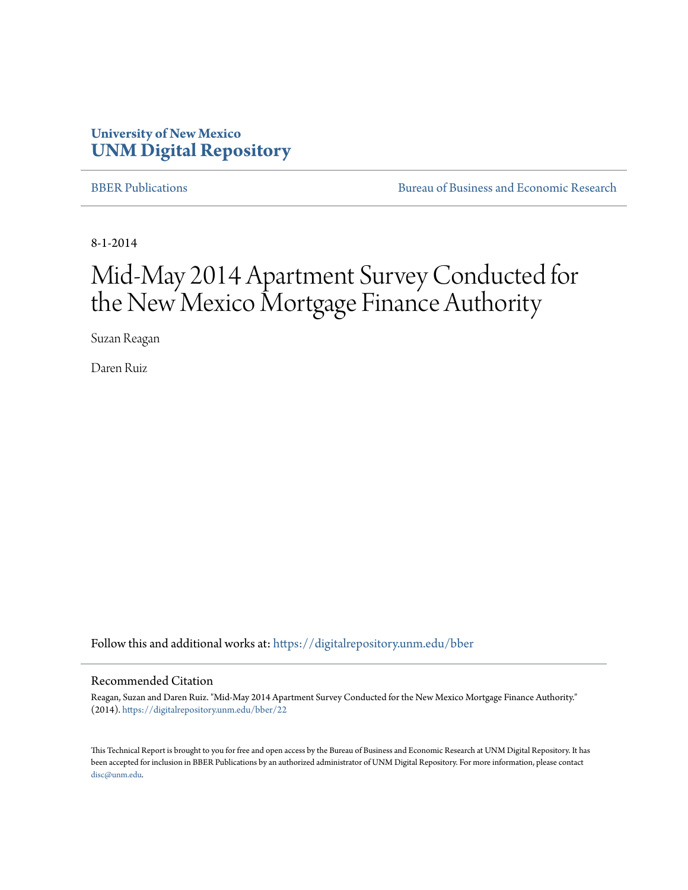## **University of New Mexico [UNM Digital Repository](https://digitalrepository.unm.edu?utm_source=digitalrepository.unm.edu%2Fbber%2F22&utm_medium=PDF&utm_campaign=PDFCoverPages)**

[BBER Publications](https://digitalrepository.unm.edu/bber?utm_source=digitalrepository.unm.edu%2Fbber%2F22&utm_medium=PDF&utm_campaign=PDFCoverPages) **BUREAU SERVICES** [Bureau of Business and Economic Research](https://digitalrepository.unm.edu/business_economic_research?utm_source=digitalrepository.unm.edu%2Fbber%2F22&utm_medium=PDF&utm_campaign=PDFCoverPages)

8-1-2014

## Mid-May 2014 Apartment Survey Conducted for the New Mexico Mortgage Finance Authority

Suzan Reagan

Daren Ruiz

Follow this and additional works at: [https://digitalrepository.unm.edu/bber](https://digitalrepository.unm.edu/bber?utm_source=digitalrepository.unm.edu%2Fbber%2F22&utm_medium=PDF&utm_campaign=PDFCoverPages)

#### Recommended Citation

Reagan, Suzan and Daren Ruiz. "Mid-May 2014 Apartment Survey Conducted for the New Mexico Mortgage Finance Authority." (2014). [https://digitalrepository.unm.edu/bber/22](https://digitalrepository.unm.edu/bber/22?utm_source=digitalrepository.unm.edu%2Fbber%2F22&utm_medium=PDF&utm_campaign=PDFCoverPages)

This Technical Report is brought to you for free and open access by the Bureau of Business and Economic Research at UNM Digital Repository. It has been accepted for inclusion in BBER Publications by an authorized administrator of UNM Digital Repository. For more information, please contact [disc@unm.edu](mailto:disc@unm.edu).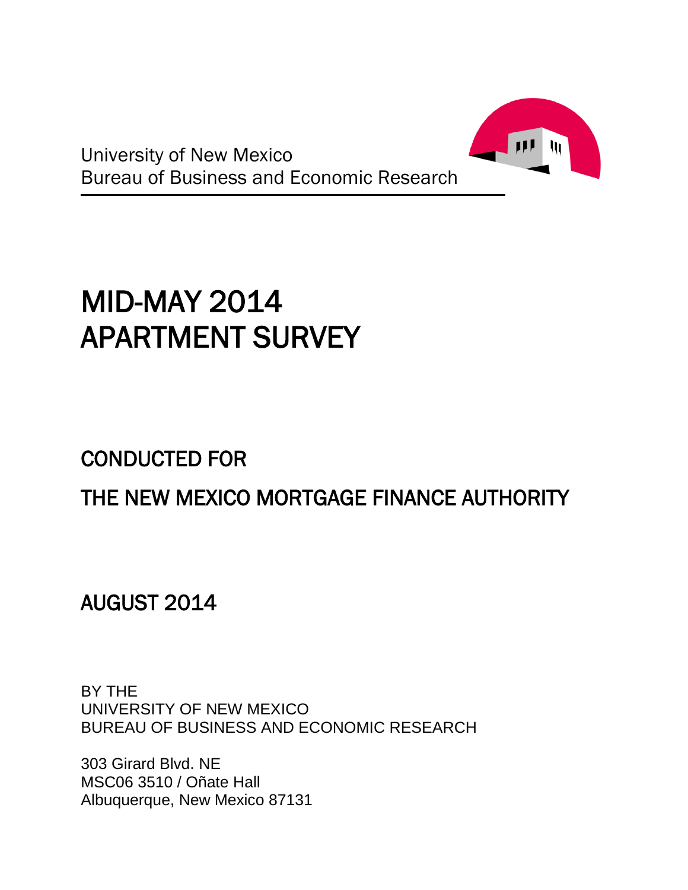

# MID-MAY 2014 APARTMENT SURVEY

## CONDUCTED FOR

## THE NEW MEXICO MORTGAGE FINANCE AUTHORITY

AUGUST 2014

BY THE UNIVERSITY OF NEW MEXICO BUREAU OF BUSINESS AND ECONOMIC RESEARCH

303 Girard Blvd. NE MSC06 3510 / Oñate Hall Albuquerque, New Mexico 87131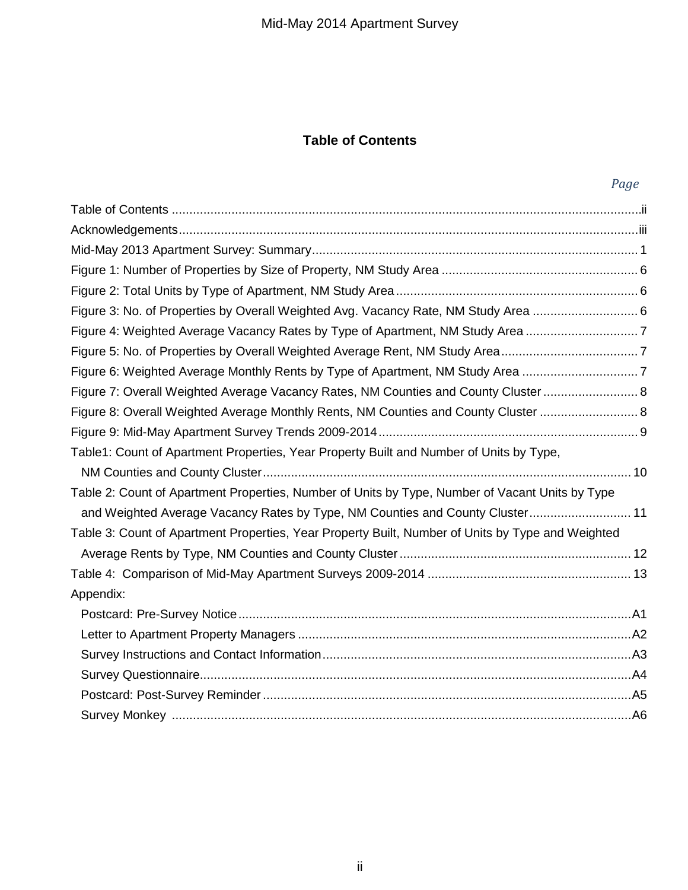## **Table of Contents**

|                                                                                                   | Page |
|---------------------------------------------------------------------------------------------------|------|
|                                                                                                   |      |
|                                                                                                   |      |
|                                                                                                   |      |
|                                                                                                   |      |
|                                                                                                   |      |
| Figure 3: No. of Properties by Overall Weighted Avg. Vacancy Rate, NM Study Area                  |      |
| Figure 4: Weighted Average Vacancy Rates by Type of Apartment, NM Study Area 7                    |      |
| Figure 5: No. of Properties by Overall Weighted Average Rent, NM Study Area7                      |      |
| Figure 6: Weighted Average Monthly Rents by Type of Apartment, NM Study Area                      |      |
| Figure 7: Overall Weighted Average Vacancy Rates, NM Counties and County Cluster 8                |      |
| Figure 8: Overall Weighted Average Monthly Rents, NM Counties and County Cluster  8               |      |
|                                                                                                   |      |
| Table1: Count of Apartment Properties, Year Property Built and Number of Units by Type,           |      |
|                                                                                                   |      |
| Table 2: Count of Apartment Properties, Number of Units by Type, Number of Vacant Units by Type   |      |
| and Weighted Average Vacancy Rates by Type, NM Counties and County Cluster 11                     |      |
| Table 3: Count of Apartment Properties, Year Property Built, Number of Units by Type and Weighted |      |
|                                                                                                   |      |
|                                                                                                   |      |
| Appendix:                                                                                         |      |
|                                                                                                   |      |
|                                                                                                   |      |
|                                                                                                   |      |
|                                                                                                   |      |
|                                                                                                   |      |
|                                                                                                   |      |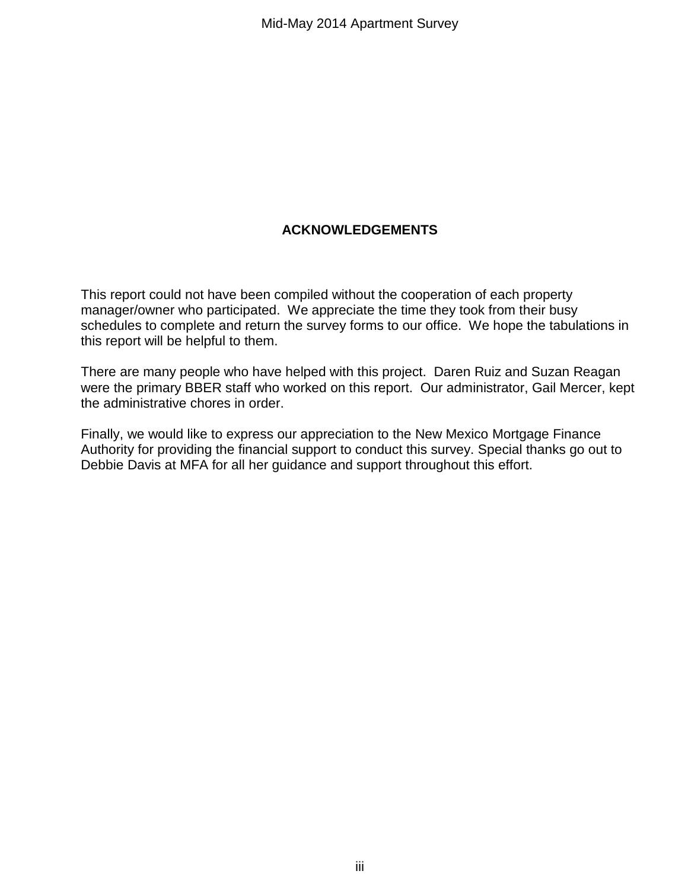## **ACKNOWLEDGEMENTS**

This report could not have been compiled without the cooperation of each property manager/owner who participated. We appreciate the time they took from their busy schedules to complete and return the survey forms to our office. We hope the tabulations in this report will be helpful to them.

There are many people who have helped with this project. Daren Ruiz and Suzan Reagan were the primary BBER staff who worked on this report. Our administrator, Gail Mercer, kept the administrative chores in order.

Finally, we would like to express our appreciation to the New Mexico Mortgage Finance Authority for providing the financial support to conduct this survey. Special thanks go out to Debbie Davis at MFA for all her guidance and support throughout this effort.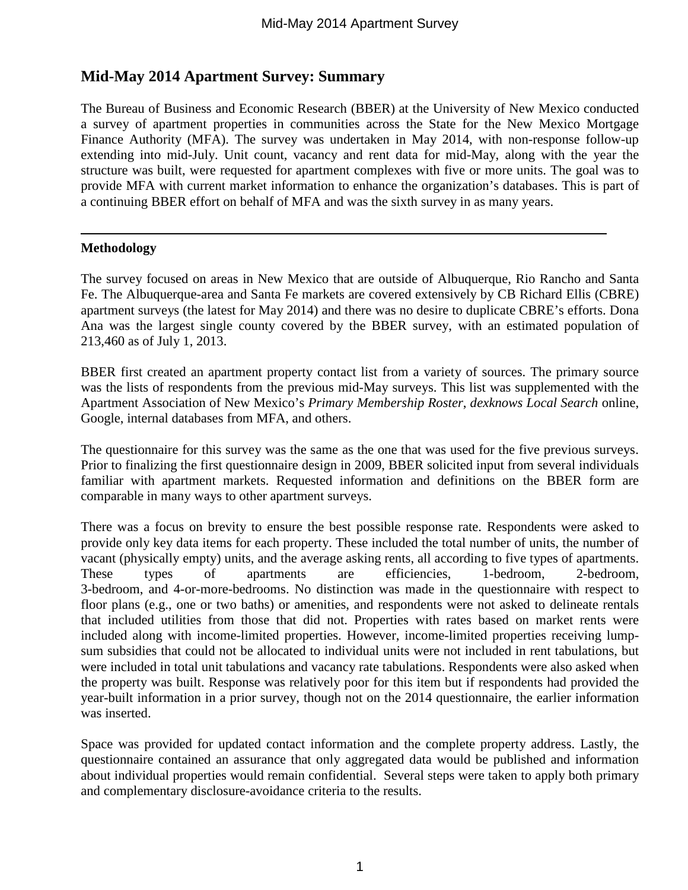## **Mid-May 2014 Apartment Survey: Summary**

The Bureau of Business and Economic Research (BBER) at the University of New Mexico conducted a survey of apartment properties in communities across the State for the New Mexico Mortgage Finance Authority (MFA). The survey was undertaken in May 2014, with non-response follow-up extending into mid-July. Unit count, vacancy and rent data for mid-May, along with the year the structure was built, were requested for apartment complexes with five or more units. The goal was to provide MFA with current market information to enhance the organization's databases. This is part of a continuing BBER effort on behalf of MFA and was the sixth survey in as many years.

#### **Methodology**

The survey focused on areas in New Mexico that are outside of Albuquerque, Rio Rancho and Santa Fe. The Albuquerque-area and Santa Fe markets are covered extensively by CB Richard Ellis (CBRE) apartment surveys (the latest for May 2014) and there was no desire to duplicate CBRE's efforts. Dona Ana was the largest single county covered by the BBER survey, with an estimated population of 213,460 as of July 1, 2013.

BBER first created an apartment property contact list from a variety of sources. The primary source was the lists of respondents from the previous mid-May surveys. This list was supplemented with the Apartment Association of New Mexico's *Primary Membership Roster*, *dexknows Local Search* online, Google, internal databases from MFA, and others.

The questionnaire for this survey was the same as the one that was used for the five previous surveys. Prior to finalizing the first questionnaire design in 2009, BBER solicited input from several individuals familiar with apartment markets. Requested information and definitions on the BBER form are comparable in many ways to other apartment surveys.

There was a focus on brevity to ensure the best possible response rate. Respondents were asked to provide only key data items for each property. These included the total number of units, the number of vacant (physically empty) units, and the average asking rents, all according to five types of apartments. These types of apartments are efficiencies, 1-bedroom, 2-bedroom, 3-bedroom, and 4-or-more-bedrooms. No distinction was made in the questionnaire with respect to floor plans (e.g., one or two baths) or amenities, and respondents were not asked to delineate rentals that included utilities from those that did not. Properties with rates based on market rents were included along with income-limited properties. However, income-limited properties receiving lumpsum subsidies that could not be allocated to individual units were not included in rent tabulations, but were included in total unit tabulations and vacancy rate tabulations. Respondents were also asked when the property was built. Response was relatively poor for this item but if respondents had provided the year-built information in a prior survey, though not on the 2014 questionnaire, the earlier information was inserted.

Space was provided for updated contact information and the complete property address. Lastly, the questionnaire contained an assurance that only aggregated data would be published and information about individual properties would remain confidential. Several steps were taken to apply both primary and complementary disclosure-avoidance criteria to the results.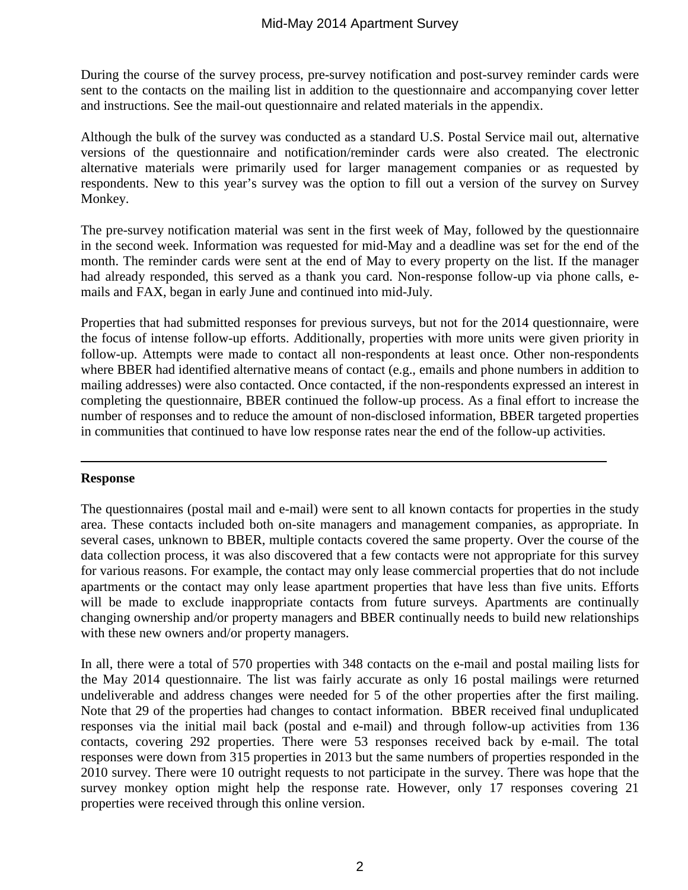During the course of the survey process, pre-survey notification and post-survey reminder cards were sent to the contacts on the mailing list in addition to the questionnaire and accompanying cover letter and instructions. See the mail-out questionnaire and related materials in the appendix.

Although the bulk of the survey was conducted as a standard U.S. Postal Service mail out, alternative versions of the questionnaire and notification/reminder cards were also created. The electronic alternative materials were primarily used for larger management companies or as requested by respondents. New to this year's survey was the option to fill out a version of the survey on Survey Monkey.

The pre-survey notification material was sent in the first week of May, followed by the questionnaire in the second week. Information was requested for mid-May and a deadline was set for the end of the month. The reminder cards were sent at the end of May to every property on the list. If the manager had already responded, this served as a thank you card. Non-response follow-up via phone calls, emails and FAX, began in early June and continued into mid-July.

Properties that had submitted responses for previous surveys, but not for the 2014 questionnaire, were the focus of intense follow-up efforts. Additionally, properties with more units were given priority in follow-up. Attempts were made to contact all non-respondents at least once. Other non-respondents where BBER had identified alternative means of contact (e.g., emails and phone numbers in addition to mailing addresses) were also contacted. Once contacted, if the non-respondents expressed an interest in completing the questionnaire, BBER continued the follow-up process. As a final effort to increase the number of responses and to reduce the amount of non-disclosed information, BBER targeted properties in communities that continued to have low response rates near the end of the follow-up activities.

#### **Response**

The questionnaires (postal mail and e-mail) were sent to all known contacts for properties in the study area. These contacts included both on-site managers and management companies, as appropriate. In several cases, unknown to BBER, multiple contacts covered the same property. Over the course of the data collection process, it was also discovered that a few contacts were not appropriate for this survey for various reasons. For example, the contact may only lease commercial properties that do not include apartments or the contact may only lease apartment properties that have less than five units. Efforts will be made to exclude inappropriate contacts from future surveys. Apartments are continually changing ownership and/or property managers and BBER continually needs to build new relationships with these new owners and/or property managers.

In all, there were a total of 570 properties with 348 contacts on the e-mail and postal mailing lists for the May 2014 questionnaire. The list was fairly accurate as only 16 postal mailings were returned undeliverable and address changes were needed for 5 of the other properties after the first mailing. Note that 29 of the properties had changes to contact information. BBER received final unduplicated responses via the initial mail back (postal and e-mail) and through follow-up activities from 136 contacts, covering 292 properties. There were 53 responses received back by e-mail. The total responses were down from 315 properties in 2013 but the same numbers of properties responded in the 2010 survey. There were 10 outright requests to not participate in the survey. There was hope that the survey monkey option might help the response rate. However, only 17 responses covering 21 properties were received through this online version.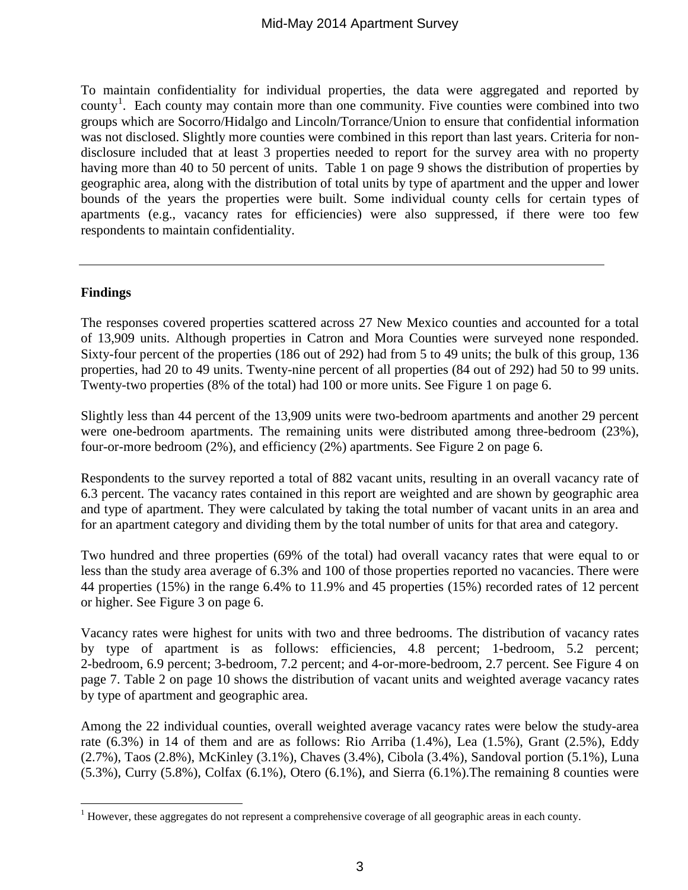To maintain confidentiality for individual properties, the data were aggregated and reported by county<sup>[1](#page-6-0)</sup>. Each county may contain more than one community. Five counties were combined into two groups which are Socorro/Hidalgo and Lincoln/Torrance/Union to ensure that confidential information was not disclosed. Slightly more counties were combined in this report than last years. Criteria for nondisclosure included that at least 3 properties needed to report for the survey area with no property having more than 40 to 50 percent of units. Table 1 on page 9 shows the distribution of properties by geographic area, along with the distribution of total units by type of apartment and the upper and lower bounds of the years the properties were built. Some individual county cells for certain types of apartments (e.g., vacancy rates for efficiencies) were also suppressed, if there were too few respondents to maintain confidentiality.

#### **Findings**

The responses covered properties scattered across 27 New Mexico counties and accounted for a total of 13,909 units. Although properties in Catron and Mora Counties were surveyed none responded. Sixty-four percent of the properties (186 out of 292) had from 5 to 49 units; the bulk of this group, 136 properties, had 20 to 49 units. Twenty-nine percent of all properties (84 out of 292) had 50 to 99 units. Twenty-two properties (8% of the total) had 100 or more units. See Figure 1 on page 6.

Slightly less than 44 percent of the 13,909 units were two-bedroom apartments and another 29 percent were one-bedroom apartments. The remaining units were distributed among three-bedroom (23%), four-or-more bedroom (2%), and efficiency (2%) apartments. See Figure 2 on page 6.

Respondents to the survey reported a total of 882 vacant units, resulting in an overall vacancy rate of 6.3 percent. The vacancy rates contained in this report are weighted and are shown by geographic area and type of apartment. They were calculated by taking the total number of vacant units in an area and for an apartment category and dividing them by the total number of units for that area and category.

Two hundred and three properties (69% of the total) had overall vacancy rates that were equal to or less than the study area average of 6.3% and 100 of those properties reported no vacancies. There were 44 properties (15%) in the range 6.4% to 11.9% and 45 properties (15%) recorded rates of 12 percent or higher. See Figure 3 on page 6.

Vacancy rates were highest for units with two and three bedrooms. The distribution of vacancy rates by type of apartment is as follows: efficiencies, 4.8 percent; 1-bedroom, 5.2 percent; 2-bedroom, 6.9 percent; 3-bedroom, 7.2 percent; and 4-or-more-bedroom, 2.7 percent. See Figure 4 on page 7. Table 2 on page 10 shows the distribution of vacant units and weighted average vacancy rates by type of apartment and geographic area.

Among the 22 individual counties, overall weighted average vacancy rates were below the study-area rate  $(6.3\%)$  in 14 of them and are as follows: Rio Arriba  $(1.4\%)$ , Lea  $(1.5\%)$ , Grant  $(2.5\%)$ , Eddy (2.7%), Taos (2.8%), McKinley (3.1%), Chaves (3.4%), Cibola (3.4%), Sandoval portion (5.1%), Luna  $(5.3\%)$ , Curry  $(5.8\%)$ , Colfax  $(6.1\%)$ , Otero  $(6.1\%)$ , and Sierra  $(6.1\%)$ . The remaining 8 counties were

<span id="page-6-0"></span><sup>&</sup>lt;sup>1</sup> However, these aggregates do not represent a comprehensive coverage of all geographic areas in each county.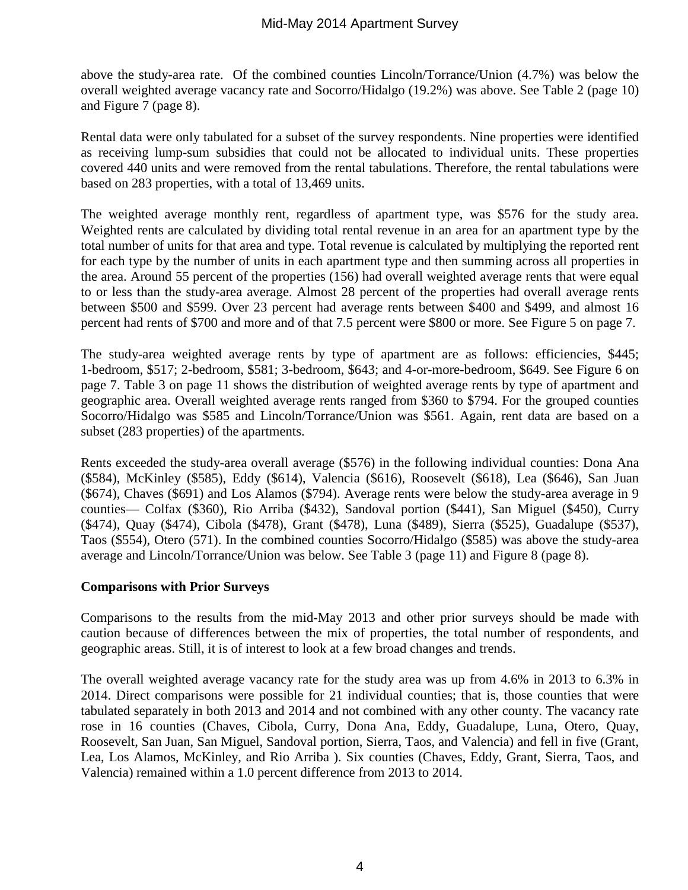above the study-area rate. Of the combined counties Lincoln/Torrance/Union (4.7%) was below the overall weighted average vacancy rate and Socorro/Hidalgo (19.2%) was above. See Table 2 (page 10) and Figure 7 (page 8).

Rental data were only tabulated for a subset of the survey respondents. Nine properties were identified as receiving lump-sum subsidies that could not be allocated to individual units. These properties covered 440 units and were removed from the rental tabulations. Therefore, the rental tabulations were based on 283 properties, with a total of 13,469 units.

The weighted average monthly rent, regardless of apartment type, was \$576 for the study area. Weighted rents are calculated by dividing total rental revenue in an area for an apartment type by the total number of units for that area and type. Total revenue is calculated by multiplying the reported rent for each type by the number of units in each apartment type and then summing across all properties in the area. Around 55 percent of the properties (156) had overall weighted average rents that were equal to or less than the study-area average. Almost 28 percent of the properties had overall average rents between \$500 and \$599. Over 23 percent had average rents between \$400 and \$499, and almost 16 percent had rents of \$700 and more and of that 7.5 percent were \$800 or more. See Figure 5 on page 7.

The study-area weighted average rents by type of apartment are as follows: efficiencies, \$445; 1-bedroom, \$517; 2-bedroom, \$581; 3-bedroom, \$643; and 4-or-more-bedroom, \$649. See Figure 6 on page 7. Table 3 on page 11 shows the distribution of weighted average rents by type of apartment and geographic area. Overall weighted average rents ranged from \$360 to \$794. For the grouped counties Socorro/Hidalgo was \$585 and Lincoln/Torrance/Union was \$561. Again, rent data are based on a subset (283 properties) of the apartments.

Rents exceeded the study-area overall average (\$576) in the following individual counties: Dona Ana (\$584), McKinley (\$585), Eddy (\$614), Valencia (\$616), Roosevelt (\$618), Lea (\$646), San Juan (\$674), Chaves (\$691) and Los Alamos (\$794). Average rents were below the study-area average in 9 counties— Colfax (\$360), Rio Arriba (\$432), Sandoval portion (\$441), San Miguel (\$450), Curry (\$474), Quay (\$474), Cibola (\$478), Grant (\$478), Luna (\$489), Sierra (\$525), Guadalupe (\$537), Taos (\$554), Otero (571). In the combined counties Socorro/Hidalgo (\$585) was above the study-area average and Lincoln/Torrance/Union was below. See Table 3 (page 11) and Figure 8 (page 8).

#### **Comparisons with Prior Surveys**

Comparisons to the results from the mid-May 2013 and other prior surveys should be made with caution because of differences between the mix of properties, the total number of respondents, and geographic areas. Still, it is of interest to look at a few broad changes and trends.

The overall weighted average vacancy rate for the study area was up from 4.6% in 2013 to 6.3% in 2014. Direct comparisons were possible for 21 individual counties; that is, those counties that were tabulated separately in both 2013 and 2014 and not combined with any other county. The vacancy rate rose in 16 counties (Chaves, Cibola, Curry, Dona Ana, Eddy, Guadalupe, Luna, Otero, Quay, Roosevelt, San Juan, San Miguel, Sandoval portion, Sierra, Taos, and Valencia) and fell in five (Grant, Lea, Los Alamos, McKinley, and Rio Arriba ). Six counties (Chaves, Eddy, Grant, Sierra, Taos, and Valencia) remained within a 1.0 percent difference from 2013 to 2014.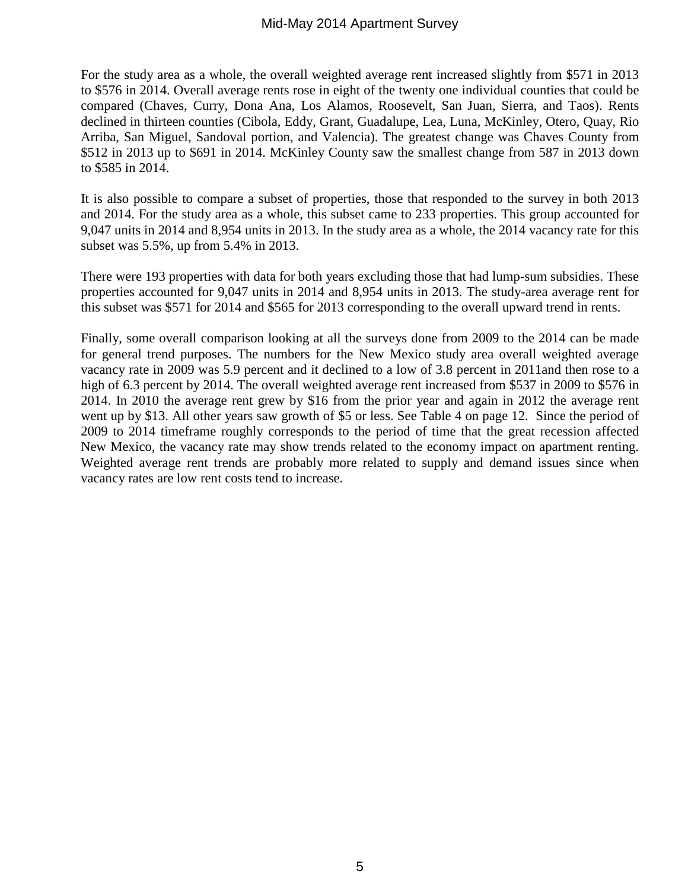For the study area as a whole, the overall weighted average rent increased slightly from \$571 in 2013 to \$576 in 2014. Overall average rents rose in eight of the twenty one individual counties that could be compared (Chaves, Curry, Dona Ana, Los Alamos, Roosevelt, San Juan, Sierra, and Taos). Rents declined in thirteen counties (Cibola, Eddy, Grant, Guadalupe, Lea, Luna, McKinley, Otero, Quay, Rio Arriba, San Miguel, Sandoval portion, and Valencia). The greatest change was Chaves County from \$512 in 2013 up to \$691 in 2014. McKinley County saw the smallest change from 587 in 2013 down to \$585 in 2014.

It is also possible to compare a subset of properties, those that responded to the survey in both 2013 and 2014. For the study area as a whole, this subset came to 233 properties. This group accounted for 9,047 units in 2014 and 8,954 units in 2013. In the study area as a whole, the 2014 vacancy rate for this subset was 5.5%, up from 5.4% in 2013.

There were 193 properties with data for both years excluding those that had lump-sum subsidies. These properties accounted for 9,047 units in 2014 and 8,954 units in 2013. The study-area average rent for this subset was \$571 for 2014 and \$565 for 2013 corresponding to the overall upward trend in rents.

Finally, some overall comparison looking at all the surveys done from 2009 to the 2014 can be made for general trend purposes. The numbers for the New Mexico study area overall weighted average vacancy rate in 2009 was 5.9 percent and it declined to a low of 3.8 percent in 2011and then rose to a high of 6.3 percent by 2014. The overall weighted average rent increased from \$537 in 2009 to \$576 in 2014. In 2010 the average rent grew by \$16 from the prior year and again in 2012 the average rent went up by \$13. All other years saw growth of \$5 or less. See Table 4 on page 12. Since the period of 2009 to 2014 timeframe roughly corresponds to the period of time that the great recession affected New Mexico, the vacancy rate may show trends related to the economy impact on apartment renting. Weighted average rent trends are probably more related to supply and demand issues since when vacancy rates are low rent costs tend to increase.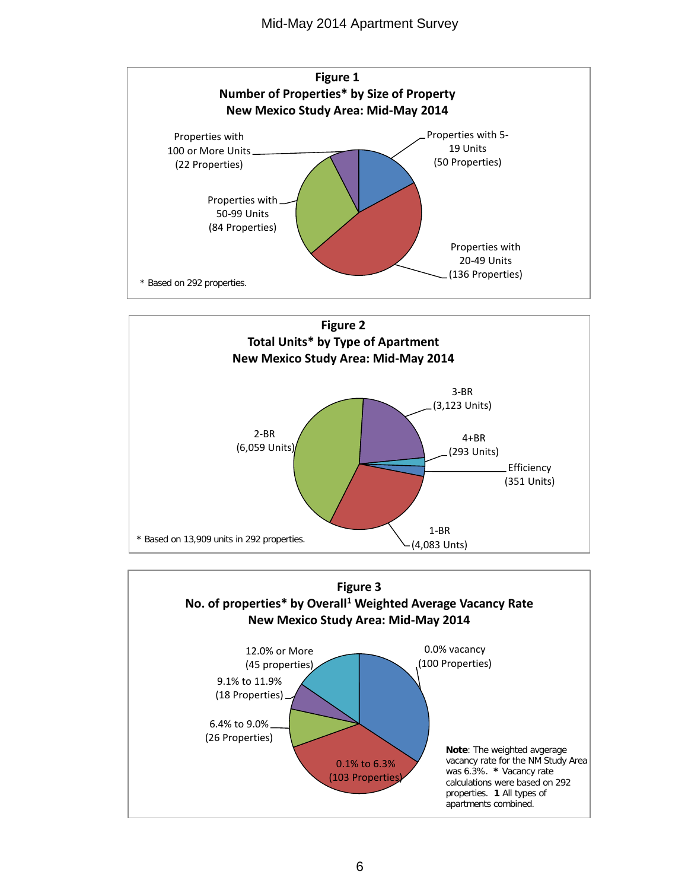



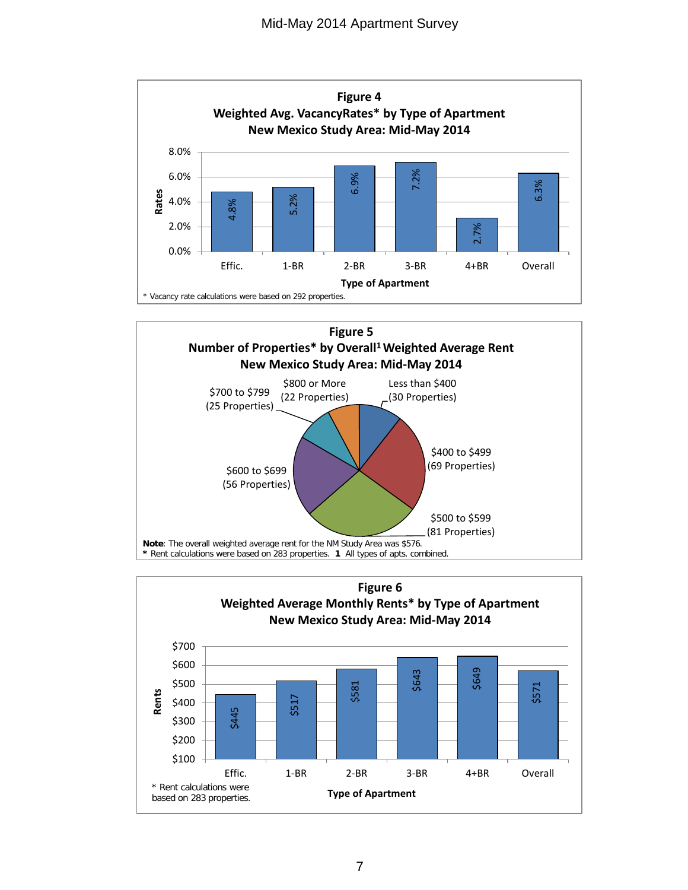



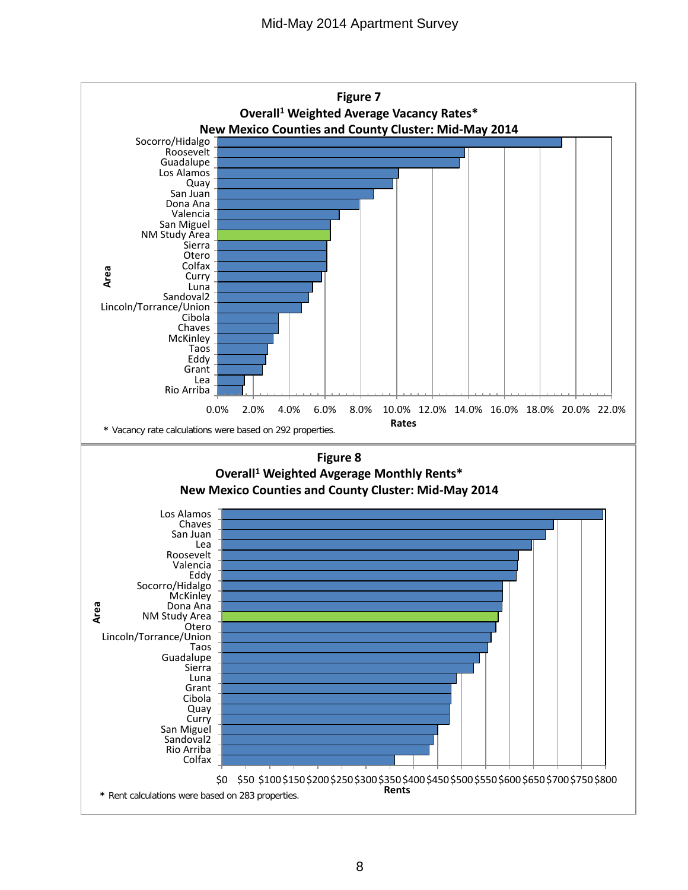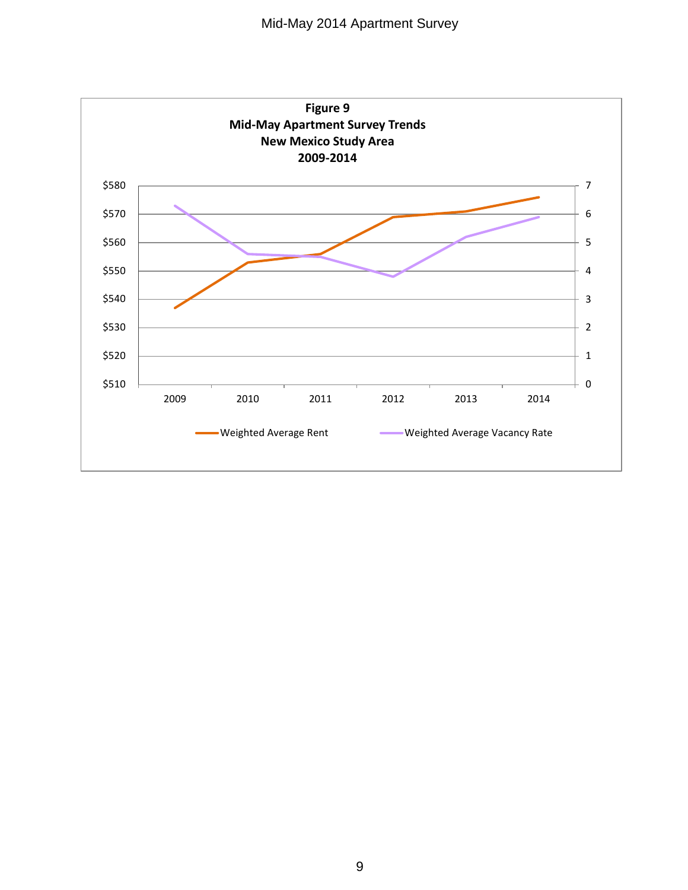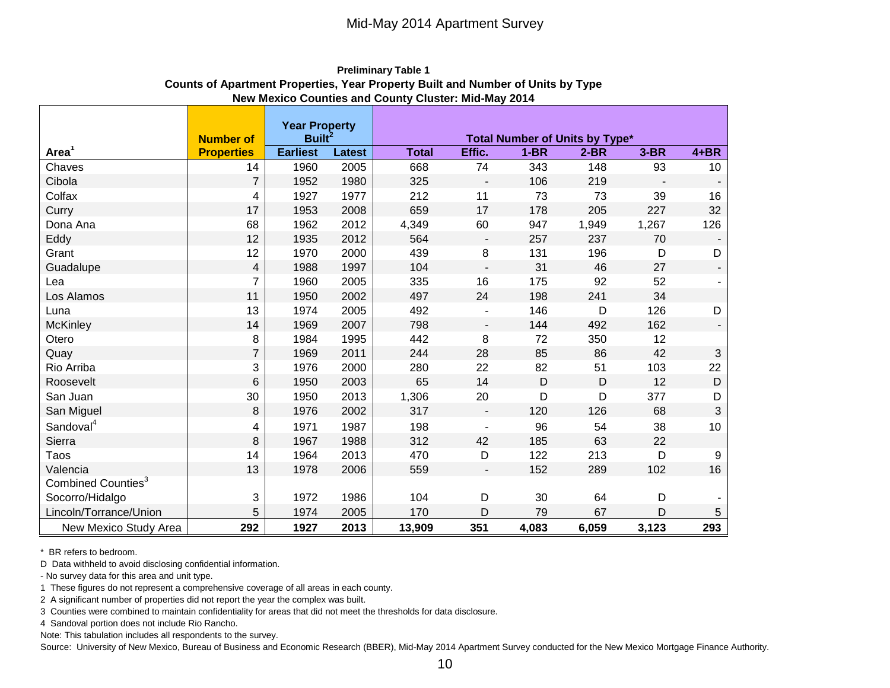|                                |                   | <b>Year Property</b> |               |              |                          |        |                                |        |                          |
|--------------------------------|-------------------|----------------------|---------------|--------------|--------------------------|--------|--------------------------------|--------|--------------------------|
|                                | <b>Number of</b>  | <b>Built</b>         |               |              |                          |        | Total Number of Units by Type* |        |                          |
| Area <sup>1</sup>              | <b>Properties</b> | <b>Earliest</b>      | <b>Latest</b> | <b>Total</b> | Effic.                   | $1-BR$ | $2-BR$                         | $3-BR$ | $4 + BR$                 |
| Chaves                         | 14                | 1960                 | 2005          | 668          | 74                       | 343    | 148                            | 93     | 10                       |
| Cibola                         | $\overline{7}$    | 1952                 | 1980          | 325          | $\overline{\phantom{a}}$ | 106    | 219                            |        |                          |
| Colfax                         | 4                 | 1927                 | 1977          | 212          | 11                       | 73     | 73                             | 39     | 16                       |
| Curry                          | 17                | 1953                 | 2008          | 659          | 17                       | 178    | 205                            | 227    | 32                       |
| Dona Ana                       | 68                | 1962                 | 2012          | 4,349        | 60                       | 947    | 1,949                          | 1,267  | 126                      |
| Eddy                           | 12                | 1935                 | 2012          | 564          | $\Box$                   | 257    | 237                            | 70     |                          |
| Grant                          | 12                | 1970                 | 2000          | 439          | $\,8\,$                  | 131    | 196                            | D      | D                        |
| Guadalupe                      | 4                 | 1988                 | 1997          | 104          | $\overline{\phantom{a}}$ | 31     | 46                             | 27     | $\overline{\phantom{a}}$ |
| Lea                            | $\overline{7}$    | 1960                 | 2005          | 335          | 16                       | 175    | 92                             | 52     |                          |
| Los Alamos                     | 11                | 1950                 | 2002          | 497          | 24                       | 198    | 241                            | 34     |                          |
| Luna                           | 13                | 1974                 | 2005          | 492          | $\overline{a}$           | 146    | D                              | 126    | D                        |
| McKinley                       | 14                | 1969                 | 2007          | 798          | $\overline{\phantom{a}}$ | 144    | 492                            | 162    | $\overline{\phantom{a}}$ |
| Otero                          | 8                 | 1984                 | 1995          | 442          | 8                        | 72     | 350                            | 12     |                          |
| Quay                           | $\overline{7}$    | 1969                 | 2011          | 244          | 28                       | 85     | 86                             | 42     | 3                        |
| Rio Arriba                     | 3                 | 1976                 | 2000          | 280          | 22                       | 82     | 51                             | 103    | 22                       |
| Roosevelt                      | 6                 | 1950                 | 2003          | 65           | 14                       | D      | D                              | 12     | D                        |
| San Juan                       | 30                | 1950                 | 2013          | 1,306        | 20                       | D      | D                              | 377    | D                        |
| San Miguel                     | 8                 | 1976                 | 2002          | 317          | $\overline{\phantom{a}}$ | 120    | 126                            | 68     | 3                        |
| Sandoval <sup>4</sup>          | 4                 | 1971                 | 1987          | 198          | $\overline{\phantom{a}}$ | 96     | 54                             | 38     | 10                       |
| Sierra                         | 8                 | 1967                 | 1988          | 312          | 42                       | 185    | 63                             | 22     |                          |
| Taos                           | 14                | 1964                 | 2013          | 470          | D                        | 122    | 213                            | D      | 9                        |
| Valencia                       | 13                | 1978                 | 2006          | 559          | $\overline{\phantom{a}}$ | 152    | 289                            | 102    | 16                       |
| Combined Counties <sup>3</sup> |                   |                      |               |              |                          |        |                                |        |                          |
| Socorro/Hidalgo                | 3                 | 1972                 | 1986          | 104          | D                        | 30     | 64                             | D      |                          |
| Lincoln/Torrance/Union         | 5                 | 1974                 | 2005          | 170          | D                        | 79     | 67                             | D      | 5                        |
| New Mexico Study Area          | 292               | 1927                 | 2013          | 13,909       | 351                      | 4,083  | 6,059                          | 3,123  | 293                      |

**Preliminary Table 1 Counts of Apartment Properties, Year Property Built and Number of Units by Type New Mexico Counties and County Cluster: Mid-May 2014**

\* BR refers to bedroom.

D Data withheld to avoid disclosing confidential information.

- No survey data for this area and unit type.

1 These figures do not represent a comprehensive coverage of all areas in each county.

2 A significant number of properties did not report the year the complex was built.

3 Counties were combined to maintain confidentiality for areas that did not meet the thresholds for data disclosure.

4 Sandoval portion does not include Rio Rancho.

Note: This tabulation includes all respondents to the survey.

Source: University of New Mexico, Bureau of Business and Economic Research (BBER), Mid-May 2014 Apartment Survey conducted for the New Mexico Mortgage Finance Authority.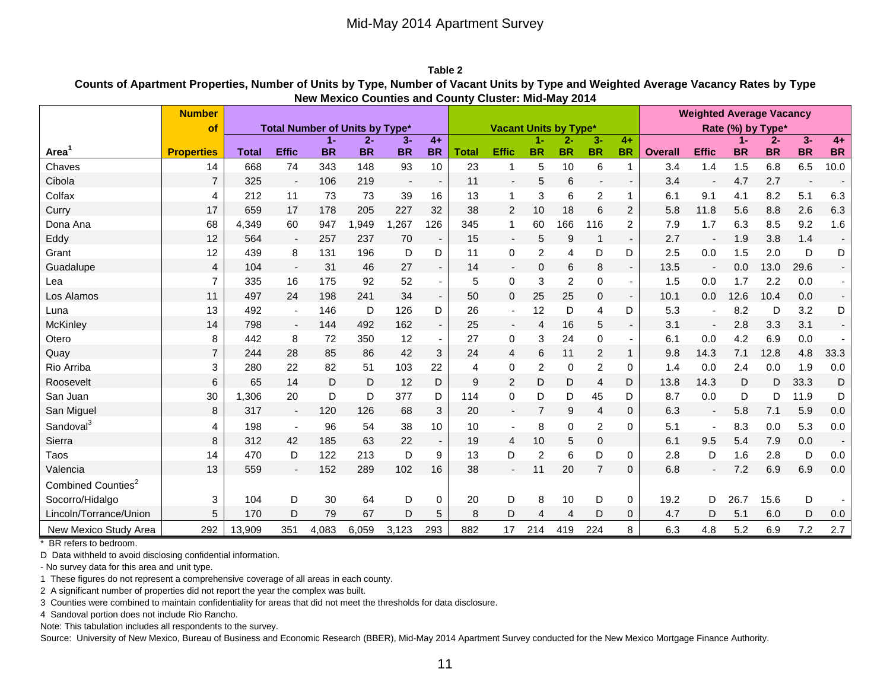**Table 2 Counts of Apartment Properties, Number of Units by Type, Number of Vacant Units by Type and Weighted Average Vacancy Rates by Type New Mexico Counties and County Cluster: Mid-May 2014**

|                                | <b>Number</b>     |              |                                       |           |           |           |                          | <b>New Mexico Counties and County Oldster.</b> Mila-May Zo I <del>T</del>            |                          |                |           |                          |                          |                |                          |           |           |           |                          |
|--------------------------------|-------------------|--------------|---------------------------------------|-----------|-----------|-----------|--------------------------|--------------------------------------------------------------------------------------|--------------------------|----------------|-----------|--------------------------|--------------------------|----------------|--------------------------|-----------|-----------|-----------|--------------------------|
|                                | of                |              | <b>Total Number of Units by Type*</b> |           |           |           |                          | <b>Weighted Average Vacancy</b><br><b>Vacant Units by Type*</b><br>Rate (%) by Type* |                          |                |           |                          |                          |                |                          |           |           |           |                          |
|                                |                   |              |                                       | $1 -$     | $2 -$     | $3-$      | $4+$                     |                                                                                      |                          | 1-             | $2 -$     | $3-$                     | $4+$                     |                |                          | $1 -$     | $2 -$     | $3-$      | $4+$                     |
| Area                           | <b>Properties</b> | <b>Total</b> | <b>Effic</b>                          | <b>BR</b> | <b>BR</b> | <b>BR</b> | <b>BR</b>                | <b>Total</b>                                                                         | <b>Effic</b>             | <b>BR</b>      | <b>BR</b> | <b>BR</b>                | <b>BR</b>                | <b>Overall</b> | <b>Effic</b>             | <b>BR</b> | <b>BR</b> | <b>BR</b> | <b>BR</b>                |
| Chaves                         | 14                | 668          | 74                                    | 343       | 148       | 93        | 10                       | 23                                                                                   | $\mathbf 1$              | 5              | 10        | 6                        | $\mathbf{1}$             | 3.4            | 1.4                      | 1.5       | 6.8       | 6.5       | 10.0                     |
| Cibola                         | $\overline{7}$    | 325          | $\blacksquare$                        | 106       | 219       |           |                          | 11                                                                                   | $\blacksquare$           | 5              | 6         | $\overline{\phantom{a}}$ | $\overline{\phantom{0}}$ | 3.4            |                          | 4.7       | 2.7       |           |                          |
| Colfax                         | 4                 | 212          | 11                                    | 73        | 73        | 39        | 16                       | 13                                                                                   | $\mathbf 1$              | 3              | 6         | $\overline{2}$           | $\mathbf{1}$             | 6.1            | 9.1                      | 4.1       | 8.2       | 5.1       | 6.3                      |
| Curry                          | 17                | 659          | 17                                    | 178       | 205       | 227       | 32                       | 38                                                                                   | 2                        | 10             | 18        | 6                        | $\overline{2}$           | 5.8            | 11.8                     | 5.6       | 8.8       | 2.6       | 6.3                      |
| Dona Ana                       | 68                | 4,349        | 60                                    | 947       | 1,949     | 1,267     | 126                      | 345                                                                                  | 1                        | 60             | 166       | 116                      | 2                        | 7.9            | 1.7                      | 6.3       | 8.5       | 9.2       | 1.6                      |
| Eddy                           | 12                | 564          | $\overline{\phantom{a}}$              | 257       | 237       | 70        | $\overline{\phantom{a}}$ | 15                                                                                   | $\overline{\phantom{a}}$ | 5              | 9         | $\mathbf{1}$             | $\overline{\phantom{a}}$ | 2.7            | $\overline{\phantom{a}}$ | 1.9       | 3.8       | 1.4       |                          |
| Grant                          | 12                | 439          | 8                                     | 131       | 196       | D         | D                        | 11                                                                                   | $\mathbf 0$              | 2              | 4         | D                        | D                        | 2.5            | 0.0                      | 1.5       | 2.0       | D         | D                        |
| Guadalupe                      | 4                 | 104          | $\overline{\phantom{a}}$              | 31        | 46        | 27        |                          | 14                                                                                   |                          | 0              | 6         | 8                        | $\overline{\phantom{a}}$ | 13.5           |                          | 0.0       | 13.0      | 29.6      |                          |
| Lea                            | $\overline{7}$    | 335          | 16                                    | 175       | 92        | 52        |                          | 5                                                                                    | $\mathbf 0$              | 3              | 2         | $\mathbf 0$              | $\blacksquare$           | 1.5            | 0.0                      | 1.7       | 2.2       | 0.0       |                          |
| Los Alamos                     | 11                | 497          | 24                                    | 198       | 241       | 34        | $\overline{\phantom{a}}$ | 50                                                                                   | $\mathbf{0}$             | 25             | 25        | 0                        | $\overline{\phantom{a}}$ | 10.1           | 0.0                      | 12.6      | 10.4      | 0.0       |                          |
| Luna                           | 13                | 492          |                                       | 146       | D         | 126       | D                        | 26                                                                                   |                          | 12             | D         | 4                        | D                        | 5.3            |                          | 8.2       | D         | 3.2       | D                        |
| <b>McKinley</b>                | 14                | 798          | $\overline{\phantom{a}}$              | 144       | 492       | 162       | $\sim$                   | 25                                                                                   | $\overline{\phantom{a}}$ | 4              | 16        | 5                        | $\overline{\phantom{a}}$ | 3.1            | $\blacksquare$           | 2.8       | 3.3       | 3.1       |                          |
| Otero                          | 8                 | 442          | 8                                     | 72        | 350       | 12        | $\overline{\phantom{a}}$ | 27                                                                                   | $\mathbf 0$              | 3              | 24        | 0                        | $\blacksquare$           | 6.1            | 0.0                      | 4.2       | 6.9       | 0.0       |                          |
| Quay                           | $\overline{7}$    | 244          | 28                                    | 85        | 86        | 42        | 3                        | 24                                                                                   | 4                        | 6              | 11        | $\overline{c}$           | $\mathbf{1}$             | 9.8            | 14.3                     | 7.1       | 12.8      | 4.8       | 33.3                     |
| Rio Arriba                     | 3                 | 280          | 22                                    | 82        | 51        | 103       | 22                       | 4                                                                                    | 0                        | 2              | 0         | 2                        | 0                        | 1.4            | 0.0                      | 2.4       | 0.0       | 1.9       | 0.0                      |
| Roosevelt                      | 6                 | 65           | 14                                    | D         | D         | 12        | D                        | 9                                                                                    | 2                        | D              | D         | 4                        | D                        | 13.8           | 14.3                     | D         | D         | 33.3      | D                        |
| San Juan                       | 30                | 1.306        | 20                                    | D         | D         | 377       | D                        | 114                                                                                  | $\Omega$                 | D              | D         | 45                       | D                        | 8.7            | 0.0                      | D         | D         | 11.9      | D                        |
| San Miguel                     | 8                 | 317          |                                       | 120       | 126       | 68        | 3                        | 20                                                                                   |                          | $\overline{7}$ | 9         | 4                        | 0                        | 6.3            |                          | 5.8       | 7.1       | 5.9       | 0.0                      |
| Sandoval <sup>3</sup>          | 4                 | 198          |                                       | 96        | 54        | 38        | 10                       | 10                                                                                   |                          | 8              | 0         | $\overline{2}$           | 0                        | 5.1            |                          | 8.3       | 0.0       | 5.3       | 0.0                      |
| Sierra                         | 8                 | 312          | 42                                    | 185       | 63        | 22        | $\overline{\phantom{a}}$ | 19                                                                                   | 4                        | 10             | 5         | $\pmb{0}$                |                          | 6.1            | 9.5                      | 5.4       | 7.9       | 0.0       | $\overline{\phantom{a}}$ |
| Taos                           | 14                | 470          | D                                     | 122       | 213       | D         | 9                        | 13                                                                                   | D                        | 2              | 6         | D                        | 0                        | 2.8            | D                        | 1.6       | 2.8       | D         | 0.0                      |
| Valencia                       | 13                | 559          |                                       | 152       | 289       | 102       | 16                       | 38                                                                                   |                          | 11             | 20        | $\overline{7}$           | 0                        | 6.8            | $\overline{\phantom{a}}$ | 7.2       | 6.9       | 6.9       | 0.0                      |
| Combined Counties <sup>2</sup> |                   |              |                                       |           |           |           |                          |                                                                                      |                          |                |           |                          |                          |                |                          |           |           |           |                          |
| Socorro/Hidalgo                | 3                 | 104          | D                                     | 30        | 64        | D         | 0                        | 20                                                                                   | D                        | 8              | 10        | D                        | $\mathbf 0$              | 19.2           | D                        | 26.7      | 15.6      | D         |                          |
| Lincoln/Torrance/Union         | 5                 | 170          | D                                     | 79        | 67        | D         | 5                        | 8                                                                                    | D                        | $\overline{4}$ | 4         | D                        | 0                        | 4.7            | D                        | 5.1       | 6.0       | D         | 0.0                      |
| New Mexico Study Area          | 292               | 13,909       | 351                                   | 4,083     | 6,059     | 3,123     | 293                      | 882                                                                                  | 17                       | 214            | 419       | 224                      | 8                        | 6.3            | 4.8                      | 5.2       | 6.9       | 7.2       | 2.7                      |

\* BR refers to bedroom.

D Data withheld to avoid disclosing confidential information.

- No survey data for this area and unit type.

1 These figures do not represent a comprehensive coverage of all areas in each county.

2 A significant number of properties did not report the year the complex was built.

3 Counties were combined to maintain confidentiality for areas that did not meet the thresholds for data disclosure.

4 Sandoval portion does not include Rio Rancho.

Note: This tabulation includes all respondents to the survey.

Source: University of New Mexico, Bureau of Business and Economic Research (BBER), Mid-May 2014 Apartment Survey conducted for the New Mexico Mortgage Finance Authority.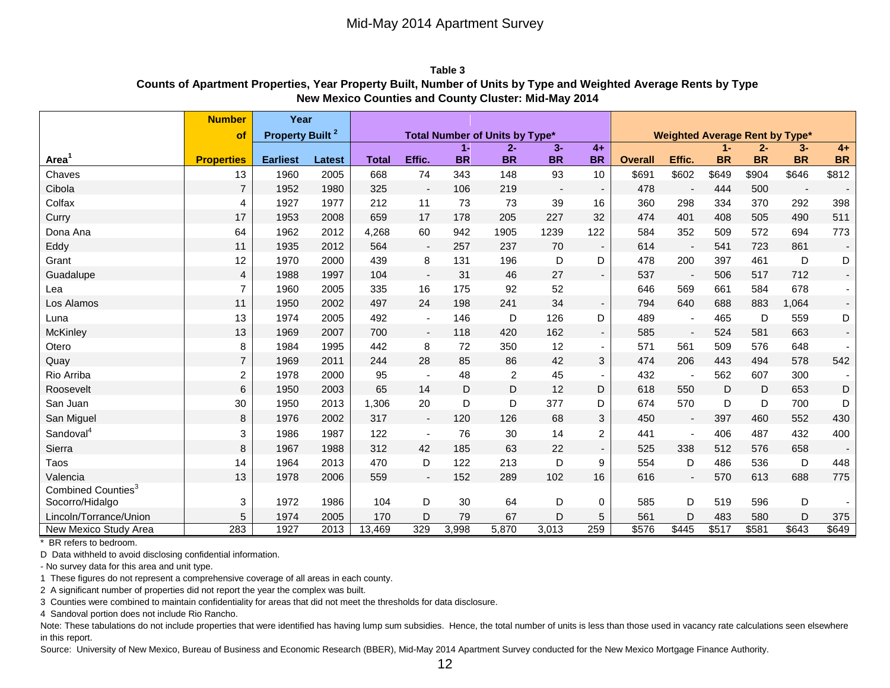**Table 3 Counts of Apartment Properties, Year Property Built, Number of Units by Type and Weighted Average Rents by Type New Mexico Counties and County Cluster: Mid-May 2014**

|                                                   | <b>Number</b>     | Year                              |               |              |                          |           |                                |                          |                |                |                                 |           |           |                          |           |
|---------------------------------------------------|-------------------|-----------------------------------|---------------|--------------|--------------------------|-----------|--------------------------------|--------------------------|----------------|----------------|---------------------------------|-----------|-----------|--------------------------|-----------|
|                                                   | <b>of</b>         | <b>Property Built<sup>2</sup></b> |               |              |                          |           | Total Number of Units by Type* |                          |                |                | <b>Weighted Average Rent by</b> |           |           | Type*                    |           |
|                                                   |                   |                                   |               |              |                          | $1 -$     | $2 -$                          | $3-$                     | $4+$           |                |                                 | -1        | $2 -$     | $3-$                     | $4+$      |
| Area                                              | <b>Properties</b> | <b>Earliest</b>                   | <b>Latest</b> | <b>Total</b> | Effic.                   | <b>BR</b> | <b>BR</b>                      | <b>BR</b>                | <b>BR</b>      | <b>Overall</b> | Effic.                          | <b>BR</b> | <b>BR</b> | <b>BR</b>                | <b>BR</b> |
| Chaves                                            | 13                | 1960                              | 2005          | 668          | 74                       | 343       | 148                            | 93                       | 10             | \$691          | \$602                           | \$649     | \$904     | \$646                    | \$812     |
| Cibola                                            | $\overline{7}$    | 1952                              | 1980          | 325          | $\blacksquare$           | 106       | 219                            | $\overline{\phantom{a}}$ | $\sim$         | 478            | $\overline{\phantom{a}}$        | 444       | 500       | $\overline{\phantom{a}}$ | $\sim$    |
| Colfax                                            | 4                 | 1927                              | 1977          | 212          | 11                       | 73        | 73                             | 39                       | 16             | 360            | 298                             | 334       | 370       | 292                      | 398       |
| Curry                                             | 17                | 1953                              | 2008          | 659          | 17                       | 178       | 205                            | 227                      | 32             | 474            | 401                             | 408       | 505       | 490                      | 511       |
| Dona Ana                                          | 64                | 1962                              | 2012          | 4,268        | 60                       | 942       | 1905                           | 1239                     | 122            | 584            | 352                             | 509       | 572       | 694                      | 773       |
| Eddy                                              | 11                | 1935                              | 2012          | 564          | $\overline{\phantom{a}}$ | 257       | 237                            | 70                       | $\sim$         | 614            | $\overline{\phantom{a}}$        | 541       | 723       | 861                      | $\sim$    |
| Grant                                             | 12                | 1970                              | 2000          | 439          | 8                        | 131       | 196                            | D                        | D              | 478            | 200                             | 397       | 461       | D                        | D         |
| Guadalupe                                         | 4                 | 1988                              | 1997          | 104          | $\overline{\phantom{a}}$ | 31        | 46                             | 27                       | $\sim$         | 537            | $\overline{\phantom{a}}$        | 506       | 517       | 712                      |           |
| Lea                                               | $\overline{7}$    | 1960                              | 2005          | 335          | 16                       | 175       | 92                             | 52                       |                | 646            | 569                             | 661       | 584       | 678                      |           |
| Los Alamos                                        | 11                | 1950                              | 2002          | 497          | 24                       | 198       | 241                            | 34                       | $\sim$         | 794            | 640                             | 688       | 883       | 1,064                    |           |
| Luna                                              | 13                | 1974                              | 2005          | 492          | $\sim$                   | 146       | D                              | 126                      | D              | 489            | $\overline{\phantom{a}}$        | 465       | D         | 559                      | D         |
| <b>McKinley</b>                                   | 13                | 1969                              | 2007          | 700          | $\overline{\phantom{a}}$ | 118       | 420                            | 162                      | $\sim$         | 585            | $\overline{\phantom{a}}$        | 524       | 581       | 663                      |           |
| Otero                                             | 8                 | 1984                              | 1995          | 442          | 8                        | 72        | 350                            | 12                       | $\sim$         | 571            | 561                             | 509       | 576       | 648                      |           |
| Quay                                              | $\overline{7}$    | 1969                              | 2011          | 244          | 28                       | 85        | 86                             | 42                       | 3              | 474            | 206                             | 443       | 494       | 578                      | 542       |
| Rio Arriba                                        | $\boldsymbol{2}$  | 1978                              | 2000          | 95           | $\overline{\phantom{a}}$ | 48        | $\overline{2}$                 | 45                       | $\sim$         | 432            | $\overline{\phantom{a}}$        | 562       | 607       | 300                      |           |
| Roosevelt                                         | 6                 | 1950                              | 2003          | 65           | 14                       | D         | D                              | 12                       | D              | 618            | 550                             | D         | D         | 653                      | D         |
| San Juan                                          | $30\,$            | 1950                              | 2013          | 1,306        | 20                       | D         | D                              | 377                      | D              | 674            | 570                             | D         | D         | 700                      | D         |
| San Miguel                                        | 8                 | 1976                              | 2002          | 317          | $\overline{\phantom{a}}$ | 120       | 126                            | 68                       | 3              | 450            | $\overline{\phantom{a}}$        | 397       | 460       | 552                      | 430       |
| Sandoval <sup>4</sup>                             | 3                 | 1986                              | 1987          | 122          | $\overline{\phantom{a}}$ | 76        | 30                             | 14                       | $\overline{2}$ | 441            | $\overline{a}$                  | 406       | 487       | 432                      | 400       |
| Sierra                                            | 8                 | 1967                              | 1988          | 312          | 42                       | 185       | 63                             | 22                       |                | 525            | 338                             | 512       | 576       | 658                      |           |
| Taos                                              | 14                | 1964                              | 2013          | 470          | D                        | 122       | 213                            | D                        | 9              | 554            | D                               | 486       | 536       | D                        | 448       |
| Valencia                                          | 13                | 1978                              | 2006          | 559          | $\overline{\phantom{a}}$ | 152       | 289                            | 102                      | 16             | 616            |                                 | 570       | 613       | 688                      | 775       |
| Combined Counties <sup>3</sup><br>Socorro/Hidalgo | 3                 | 1972                              | 1986          | 104          | D                        | 30        | 64                             | D                        | $\mathbf 0$    | 585            | D                               | 519       | 596       | D                        |           |
| Lincoln/Torrance/Union                            | 5                 | 1974                              | 2005          | 170          | D                        | 79        | 67                             | D                        | 5              | 561            | D                               | 483       | 580       | D                        | 375       |
| New Mexico Study Area                             | 283               | 1927                              | 2013          | 13,469       | 329                      | 3,998     | 5,870                          | 3,013                    | 259            | \$576          | $\sqrt{$445}$                   | \$517     | \$581     | \$643                    | \$649     |

\* BR refers to bedroom.

D Data withheld to avoid disclosing confidential information.

- No survey data for this area and unit type.

1 These figures do not represent a comprehensive coverage of all areas in each county.

2 A significant number of properties did not report the year the complex was built.

3 Counties were combined to maintain confidentiality for areas that did not meet the thresholds for data disclosure.

4 Sandoval portion does not include Rio Rancho.

Note: These tabulations do not include properties that were identified has having lump sum subsidies. Hence, the total number of units is less than those used in vacancy rate calculations seen elsewhere in this report.

Source: University of New Mexico, Bureau of Business and Economic Research (BBER), Mid-May 2014 Apartment Survey conducted for the New Mexico Mortgage Finance Authority.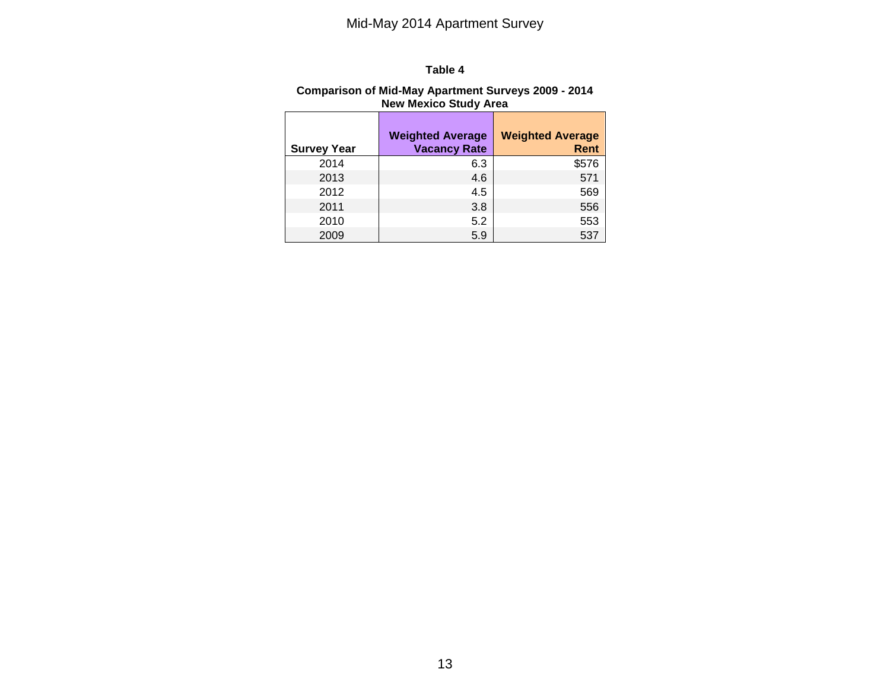#### **Table 4**

#### **Comparison of Mid-May Apartment Surveys 2009 - 2014 New Mexico Study Area**

| <b>Survey Year</b> | <b>Weighted Average</b><br><b>Vacancy Rate</b> | <b>Weighted Average</b><br>Rent |
|--------------------|------------------------------------------------|---------------------------------|
| 2014               | 6.3                                            | \$576                           |
| 2013               | 4.6                                            | 571                             |
| 2012               | 4.5                                            | 569                             |
| 2011               | 3.8                                            | 556                             |
| 2010               | 5.2                                            | 553                             |
| 2009               | 5.9                                            | 537                             |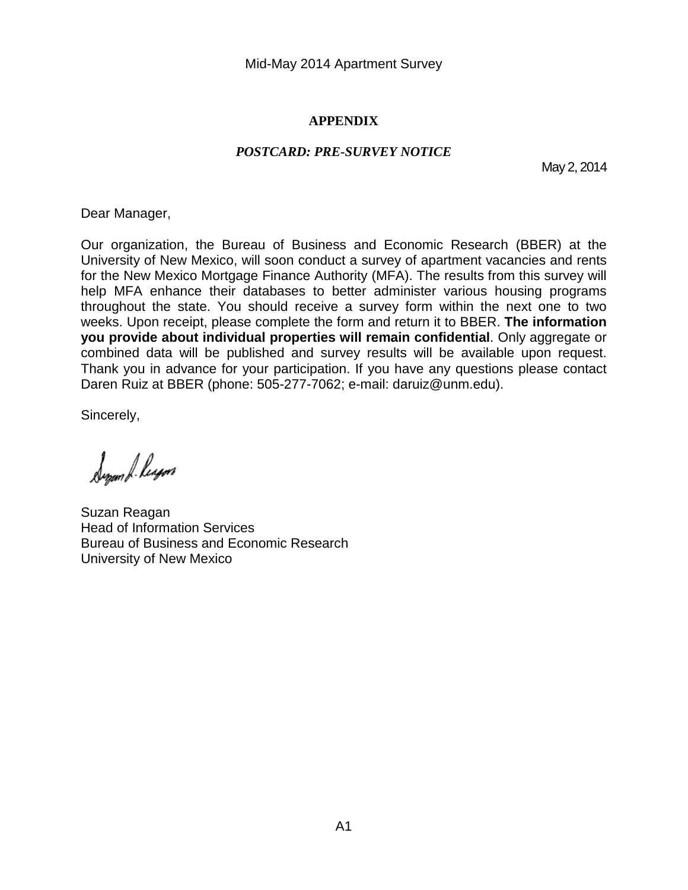#### **APPENDIX**

#### *POSTCARD: PRE-SURVEY NOTICE*

May 2, 2014

Dear Manager,

Our organization, the Bureau of Business and Economic Research (BBER) at the University of New Mexico, will soon conduct a survey of apartment vacancies and rents for the New Mexico Mortgage Finance Authority (MFA). The results from this survey will help MFA enhance their databases to better administer various housing programs throughout the state. You should receive a survey form within the next one to two weeks. Upon receipt, please complete the form and return it to BBER. **The information you provide about individual properties will remain confidential**. Only aggregate or combined data will be published and survey results will be available upon request. Thank you in advance for your participation. If you have any questions please contact Daren Ruiz at BBER (phone: 505-277-7062; e-mail: daruiz@unm.edu).

Sincerely,

Synam L. leyen

Suzan Reagan Head of Information Services Bureau of Business and Economic Research University of New Mexico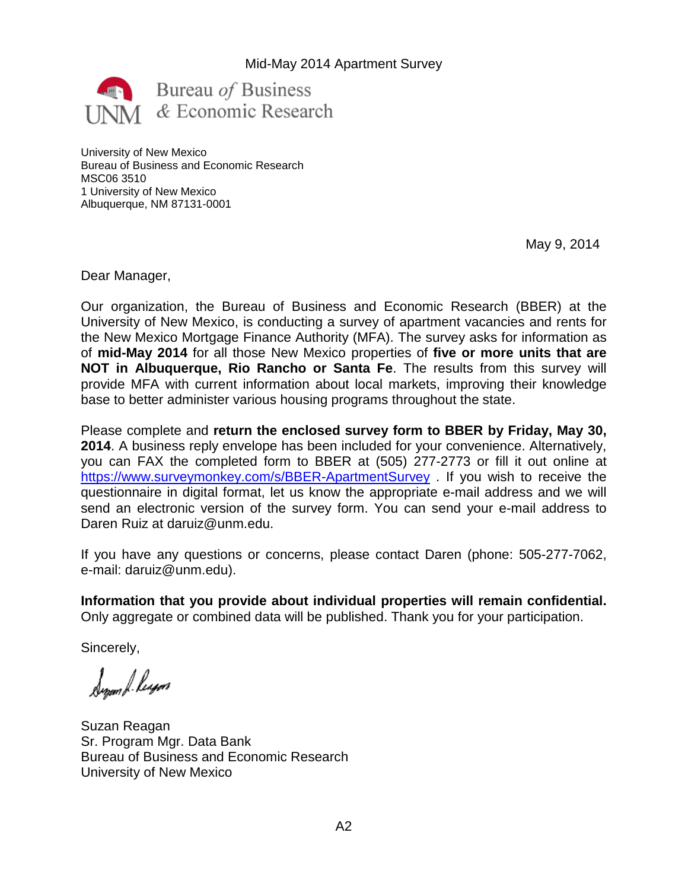

University of New Mexico Bureau of Business and Economic Research MSC06 3510 1 University of New Mexico Albuquerque, NM 87131-0001

May 9, 2014

Dear Manager,

Our organization, the Bureau of Business and Economic Research (BBER) at the University of New Mexico, is conducting a survey of apartment vacancies and rents for the New Mexico Mortgage Finance Authority (MFA). The survey asks for information as of **mid-May 2014** for all those New Mexico properties of **five or more units that are NOT in Albuquerque, Rio Rancho or Santa Fe**. The results from this survey will provide MFA with current information about local markets, improving their knowledge base to better administer various housing programs throughout the state.

Please complete and **return the enclosed survey form to BBER by Friday, May 30, 2014**. A business reply envelope has been included for your convenience. Alternatively, you can FAX the completed form to BBER at (505) 277-2773 or fill it out online at <https://www.surveymonkey.com/s/BBER-ApartmentSurvey> . If you wish to receive the questionnaire in digital format, let us know the appropriate e-mail address and we will send an electronic version of the survey form. You can send your e-mail address to Daren Ruiz at daruiz@unm.edu.

If you have any questions or concerns, please contact Daren (phone: 505-277-7062, e-mail: daruiz@unm.edu).

**Information that you provide about individual properties will remain confidential.** Only aggregate or combined data will be published. Thank you for your participation.

Sincerely,

Synam & Reyon

Suzan Reagan Sr. Program Mgr. Data Bank Bureau of Business and Economic Research University of New Mexico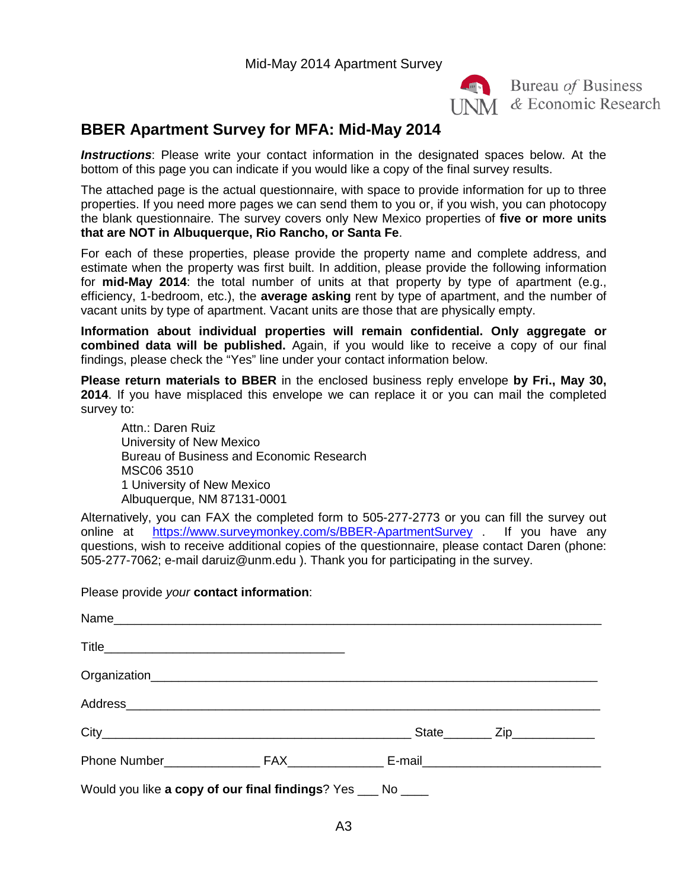

**Exercise** Bureau of Business **INM** & Economic Research

## **BBER Apartment Survey for MFA: Mid-May 2014**

*Instructions*: Please write your contact information in the designated spaces below. At the bottom of this page you can indicate if you would like a copy of the final survey results.

The attached page is the actual questionnaire, with space to provide information for up to three properties. If you need more pages we can send them to you or, if you wish, you can photocopy the blank questionnaire. The survey covers only New Mexico properties of **five or more units that are NOT in Albuquerque, Rio Rancho, or Santa Fe**.

For each of these properties, please provide the property name and complete address, and estimate when the property was first built. In addition, please provide the following information for **mid-May 2014**: the total number of units at that property by type of apartment (e.g., efficiency, 1-bedroom, etc.), the **average asking** rent by type of apartment, and the number of vacant units by type of apartment. Vacant units are those that are physically empty.

**Information about individual properties will remain confidential. Only aggregate or combined data will be published.** Again, if you would like to receive a copy of our final findings, please check the "Yes" line under your contact information below.

**Please return materials to BBER** in the enclosed business reply envelope **by Fri., May 30, 2014**. If you have misplaced this envelope we can replace it or you can mail the completed survey to:

Attn.: Daren Ruiz University of New Mexico Bureau of Business and Economic Research MSC06 3510 1 University of New Mexico Albuquerque, NM 87131-0001

Alternatively, you can FAX the completed form to 505-277-2773 or you can fill the survey out online at <https://www.surveymonkey.com/s/BBER-ApartmentSurvey> . If you have any questions, wish to receive additional copies of the questionnaire, please contact Daren (phone: 505-277-7062; e-mail daruiz@unm.edu ). Thank you for participating in the survey.

#### Please provide *your* **contact information**:

| Address Andreas Address Address Andreas Andreas Address Address Address Andreas Address Address Andres Address |  |  |
|----------------------------------------------------------------------------------------------------------------|--|--|
|                                                                                                                |  |  |
|                                                                                                                |  |  |
| Would you like a copy of our final findings? Yes ___ No ____                                                   |  |  |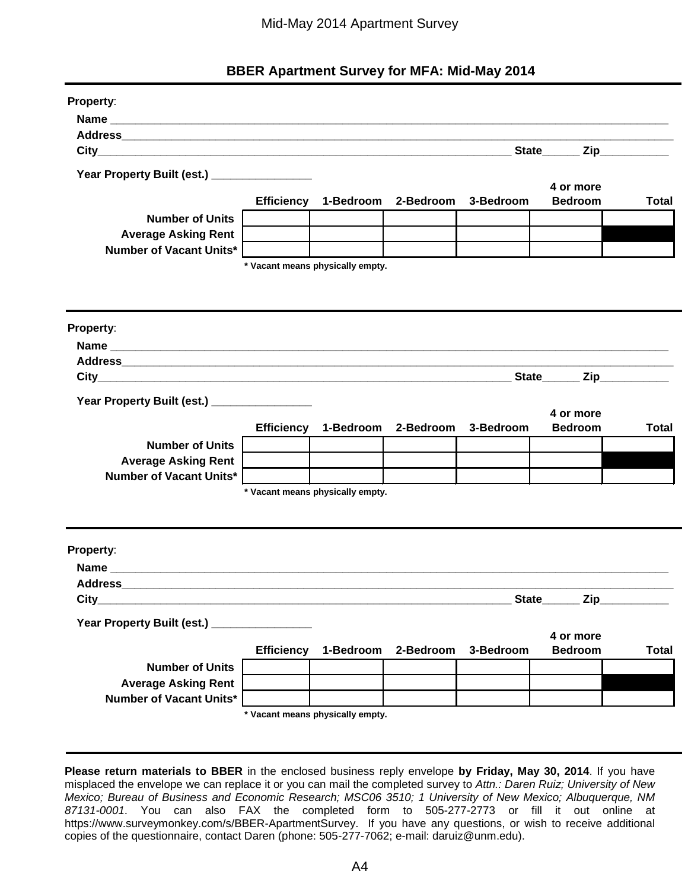## **BBER Apartment Survey for MFA: Mid-May 2014**

| Property:                                     |                   |                                          |           |           |                                   |              |
|-----------------------------------------------|-------------------|------------------------------------------|-----------|-----------|-----------------------------------|--------------|
|                                               |                   |                                          |           |           |                                   |              |
|                                               |                   |                                          |           |           |                                   |              |
|                                               |                   |                                          |           |           | State Zip                         |              |
| Year Property Built (est.) __________________ |                   |                                          |           |           |                                   |              |
|                                               |                   |                                          |           |           | 4 or more                         |              |
|                                               |                   | Efficiency 1-Bedroom 2-Bedroom 3-Bedroom |           |           | <b>Bedroom</b>                    | <b>Total</b> |
| <b>Number of Units</b>                        |                   |                                          |           |           |                                   |              |
| <b>Average Asking Rent</b>                    |                   |                                          |           |           |                                   |              |
| <b>Number of Vacant Units*</b>                |                   |                                          |           |           |                                   |              |
|                                               |                   | * Vacant means physically empty.         |           |           |                                   |              |
|                                               |                   |                                          |           |           |                                   |              |
|                                               |                   |                                          |           |           |                                   |              |
|                                               |                   |                                          |           |           |                                   |              |
| Property:                                     |                   |                                          |           |           |                                   |              |
|                                               |                   |                                          |           |           |                                   |              |
|                                               |                   |                                          |           |           |                                   |              |
|                                               |                   |                                          |           |           |                                   |              |
| Year Property Built (est.) _______________    |                   |                                          |           |           |                                   |              |
|                                               |                   |                                          |           |           | 4 or more                         |              |
|                                               |                   | Efficiency 1-Bedroom                     | 2-Bedroom | 3-Bedroom | <b>Bedroom</b>                    | <b>Total</b> |
| <b>Number of Units</b>                        |                   |                                          |           |           |                                   |              |
| <b>Average Asking Rent</b>                    |                   |                                          |           |           |                                   |              |
| <b>Number of Vacant Units*</b>                |                   |                                          |           |           |                                   |              |
|                                               |                   | * Vacant means physically empty.         |           |           |                                   |              |
|                                               |                   |                                          |           |           |                                   |              |
|                                               |                   |                                          |           |           |                                   |              |
|                                               |                   |                                          |           |           |                                   |              |
| Property:                                     |                   |                                          |           |           |                                   |              |
|                                               |                   |                                          |           |           |                                   |              |
| <b>Address</b>                                |                   |                                          |           |           |                                   |              |
| $City_$                                       |                   |                                          |           |           | State______<br>$\mathsf{Zip}_{-}$ |              |
| Year Property Built (est.) ________________   |                   |                                          |           |           |                                   |              |
|                                               |                   |                                          |           |           | 4 or more                         |              |
|                                               | <b>Efficiency</b> | 1-Bedroom                                | 2-Bedroom | 3-Bedroom | <b>Bedroom</b>                    | <b>Total</b> |
| <b>Number of Units</b>                        |                   |                                          |           |           |                                   |              |
| <b>Average Asking Rent</b>                    |                   |                                          |           |           |                                   |              |
| <b>Number of Vacant Units*</b>                |                   |                                          |           |           |                                   |              |
|                                               |                   | * Vacant means physically empty.         |           |           |                                   |              |
|                                               |                   |                                          |           |           |                                   |              |

**Please return materials to BBER** in the enclosed business reply envelope **by Friday, May 30, 2014**. If you have misplaced the envelope we can replace it or you can mail the completed survey to *Attn.: Daren Ruiz; University of New Mexico; Bureau of Business and Economic Research; MSC06 3510; 1 University of New Mexico; Albuquerque, NM 87131-0001*. You can also FAX the completed form to 505-277-2773 or fill it out online at https://www.surveymonkey.com/s/BBER-ApartmentSurvey. If you have any questions, or wish to receive additional copies of the questionnaire, contact Daren (phone: 505-277-7062; e-mail: daruiz@unm.edu).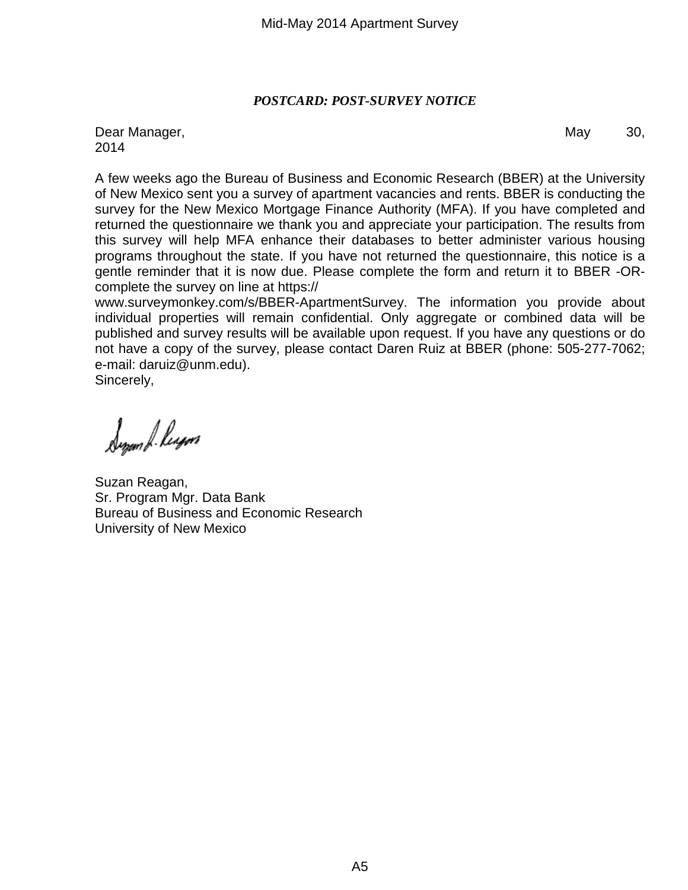## *POSTCARD: POST-SURVEY NOTICE*

Dear Manager, National School and School and School and School and School and School and School and School and School and School and School and School and School and School and School and School and School and School and S 2014

A few weeks ago the Bureau of Business and Economic Research (BBER) at the University of New Mexico sent you a survey of apartment vacancies and rents. BBER is conducting the survey for the New Mexico Mortgage Finance Authority (MFA). If you have completed and returned the questionnaire we thank you and appreciate your participation. The results from this survey will help MFA enhance their databases to better administer various housing programs throughout the state. If you have not returned the questionnaire, this notice is a gentle reminder that it is now due. Please complete the form and return it to BBER -ORcomplete the survey on line at https://

www.surveymonkey.com/s/BBER-ApartmentSurvey. The information you provide about individual properties will remain confidential. Only aggregate or combined data will be published and survey results will be available upon request. If you have any questions or do not have a copy of the survey, please contact Daren Ruiz at BBER (phone: 505-277-7062; e-mail: daruiz@unm.edu).

Sincerely,

Synam & Regen

Suzan Reagan, Sr. Program Mgr. Data Bank Bureau of Business and Economic Research University of New Mexico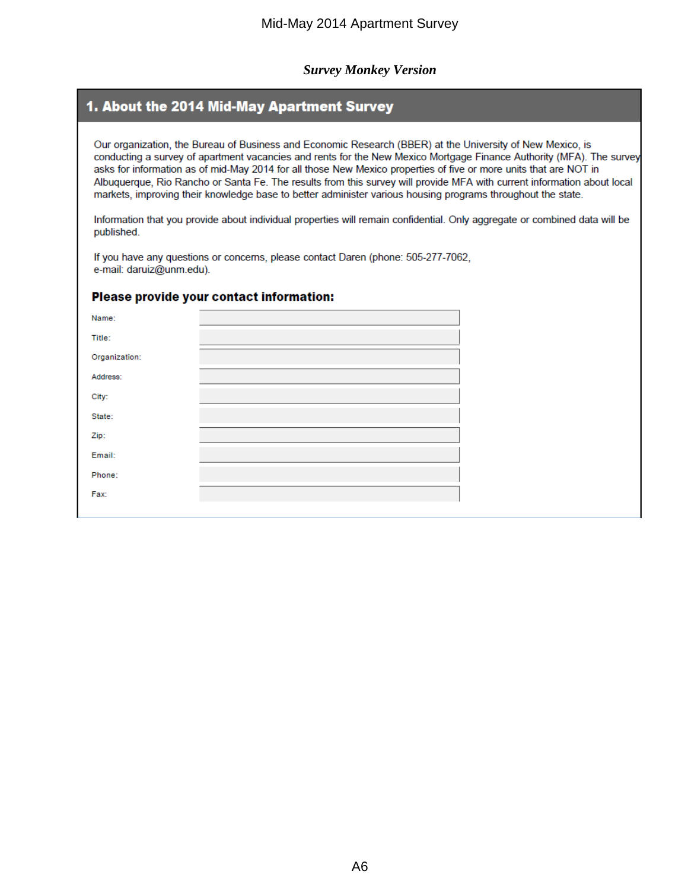#### *Survey Monkey Version*

## 1. About the 2014 Mid-May Apartment Survey

Our organization, the Bureau of Business and Economic Research (BBER) at the University of New Mexico, is conducting a survey of apartment vacancies and rents for the New Mexico Mortgage Finance Authority (MFA). The survey asks for information as of mid-May 2014 for all those New Mexico properties of five or more units that are NOT in Albuguergue, Rio Rancho or Santa Fe. The results from this survey will provide MFA with current information about local markets, improving their knowledge base to better administer various housing programs throughout the state.

Information that you provide about individual properties will remain confidential. Only aggregate or combined data will be published.

If you have any questions or concerns, please contact Daren (phone: 505-277-7062, e-mail: daruiz@unm.edu).

#### Please provide your contact information:

| Name:         |                                                                                                                |
|---------------|----------------------------------------------------------------------------------------------------------------|
| Title:        |                                                                                                                |
| Organization: |                                                                                                                |
| Address:      |                                                                                                                |
| City:         | and the state of the state of the state of the state of the state of the state of the state of the state of th |
| State:        |                                                                                                                |
| Zip:          |                                                                                                                |
| Email:        |                                                                                                                |
| Phone:        |                                                                                                                |
| Fax:          |                                                                                                                |
|               |                                                                                                                |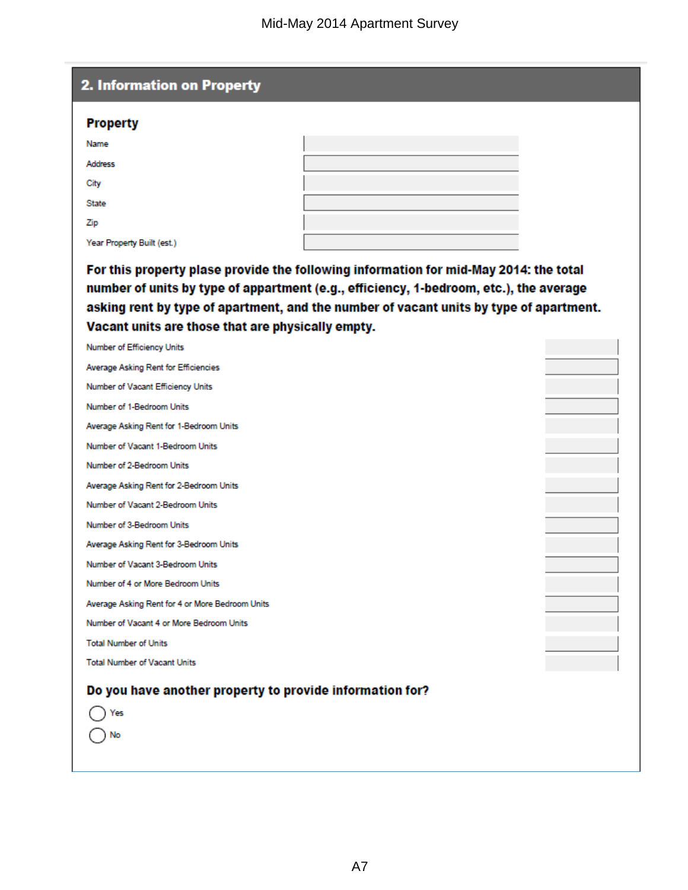| <b>Property</b>                                          |                                                                                                                                                                                                                                                                           |  |
|----------------------------------------------------------|---------------------------------------------------------------------------------------------------------------------------------------------------------------------------------------------------------------------------------------------------------------------------|--|
| Name                                                     |                                                                                                                                                                                                                                                                           |  |
| <b>Address</b>                                           |                                                                                                                                                                                                                                                                           |  |
| City                                                     |                                                                                                                                                                                                                                                                           |  |
| State                                                    |                                                                                                                                                                                                                                                                           |  |
| Zip                                                      |                                                                                                                                                                                                                                                                           |  |
| Year Property Built (est.)                               |                                                                                                                                                                                                                                                                           |  |
| Vacant units are those that are physically empty.        | For this property plase provide the following information for mid-May 2014: the total<br>number of units by type of appartment (e.g., efficiency, 1-bedroom, etc.), the average<br>asking rent by type of apartment, and the number of vacant units by type of apartment. |  |
| Number of Efficiency Units                               |                                                                                                                                                                                                                                                                           |  |
| Average Asking Rent for Efficiencies                     |                                                                                                                                                                                                                                                                           |  |
| Number of Vacant Efficiency Units                        |                                                                                                                                                                                                                                                                           |  |
| Number of 1-Bedroom Units                                |                                                                                                                                                                                                                                                                           |  |
| Average Asking Rent for 1-Bedroom Units                  |                                                                                                                                                                                                                                                                           |  |
| Number of Vacant 1-Bedroom Units                         |                                                                                                                                                                                                                                                                           |  |
| Number of 2-Bedroom Units                                |                                                                                                                                                                                                                                                                           |  |
| Average Asking Rent for 2-Bedroom Units                  |                                                                                                                                                                                                                                                                           |  |
| Number of Vacant 2-Bedroom Units                         |                                                                                                                                                                                                                                                                           |  |
| Number of 3-Bedroom Units                                |                                                                                                                                                                                                                                                                           |  |
| Average Asking Rent for 3-Bedroom Units                  |                                                                                                                                                                                                                                                                           |  |
| Number of Vacant 3-Bedroom Units                         |                                                                                                                                                                                                                                                                           |  |
| Number of 4 or More Bedroom Units                        |                                                                                                                                                                                                                                                                           |  |
| Average Asking Rent for 4 or More Bedroom Units          |                                                                                                                                                                                                                                                                           |  |
| Number of Vacant 4 or More Bedroom Units                 |                                                                                                                                                                                                                                                                           |  |
| <b>Total Number of Units</b>                             |                                                                                                                                                                                                                                                                           |  |
| <b>Total Number of Vacant Units</b>                      |                                                                                                                                                                                                                                                                           |  |
|                                                          |                                                                                                                                                                                                                                                                           |  |
| Do you have another property to provide information for? |                                                                                                                                                                                                                                                                           |  |